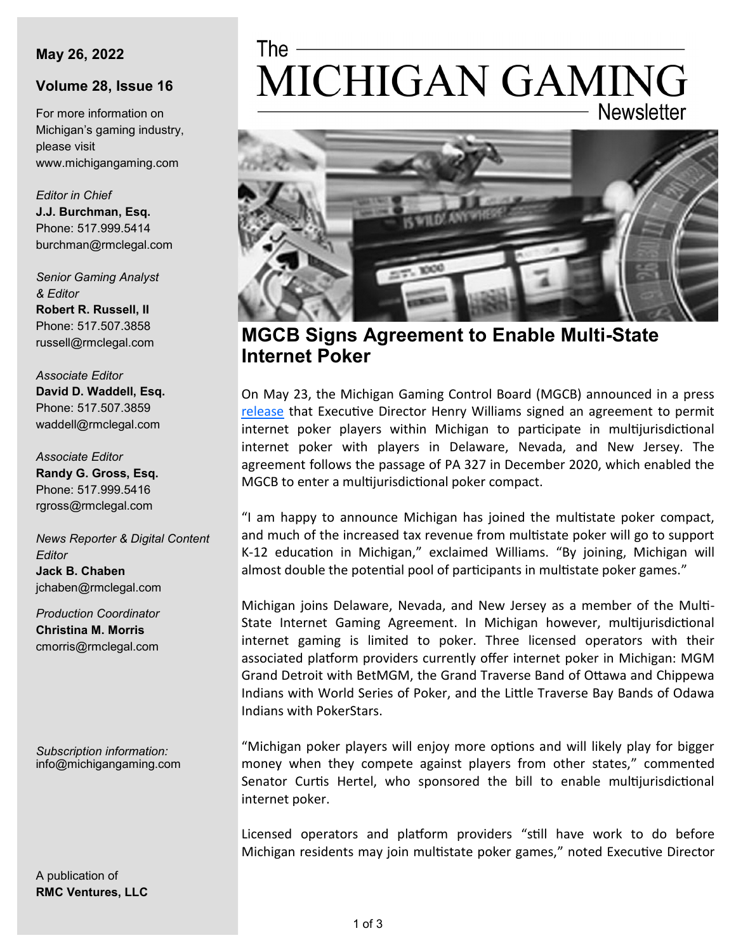#### **May 26, 2022**

### **Volume 28, Issue 16**

For more information on Michigan's gaming industry, please visit www.michigangaming.com

*Editor in Chief* **J.J. Burchman, Esq.** Phone: 517.999.5414 burchman@rmclegal.com

*Senior Gaming Analyst & Editor* **Robert R. Russell, II** Phone: 517.507.3858

russell@rmclegal.com

*Associate Editor* **David D. Waddell, Esq.** Phone: 517.507.3859 waddell@rmclegal.com

*Associate Editor* **Randy G. Gross, Esq.** Phone: 517.999.5416 rgross@rmclegal.com

*News Reporter & Digital Content Editor* **Jack B. Chaben** jchaben@rmclegal.com

*Production Coordinator* **Christina M. Morris** cmorris@rmclegal.com

*Subscription information:* info@michigangaming.com

A publication of **RMC Ventures, LLC**

# The -MICHIGAN GAMING **Newsletter**



**MGCB Signs Agreement to Enable Multi-State Internet Poker**

On May 23, the Michigan Gaming Control Board (MGCB) announced in a press [release](https://content.govdelivery.com/accounts/MIGCB/bulletins/318c0a7) that Executive Director Henry Williams signed an agreement to permit internet poker players within Michigan to participate in multijurisdictional internet poker with players in Delaware, Nevada, and New Jersey. The agreement follows the passage of PA 327 in December 2020, which enabled the MGCB to enter a multijurisdictional poker compact.

"I am happy to announce Michigan has joined the multistate poker compact, and much of the increased tax revenue from multistate poker will go to support K-12 education in Michigan," exclaimed Williams. "By joining, Michigan will almost double the potential pool of participants in multistate poker games."

Michigan joins Delaware, Nevada, and New Jersey as a member of the Multi-State Internet Gaming Agreement. In Michigan however, multijurisdictional internet gaming is limited to poker. Three licensed operators with their associated platform providers currently offer internet poker in Michigan: MGM Grand Detroit with BetMGM, the Grand Traverse Band of Ottawa and Chippewa Indians with World Series of Poker, and the Little Traverse Bay Bands of Odawa Indians with PokerStars.

"Michigan poker players will enjoy more options and will likely play for bigger money when they compete against players from other states," commented Senator Curtis Hertel, who sponsored the bill to enable multijurisdictional internet poker.

Licensed operators and platform providers "still have work to do before Michigan residents may join multistate poker games," noted Executive Director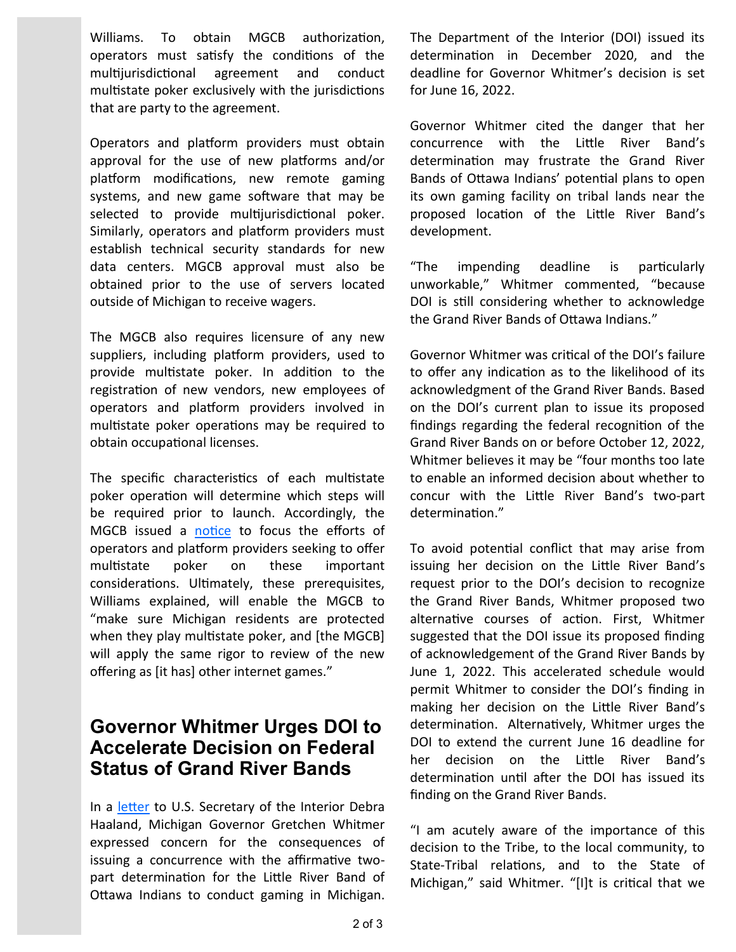Williams. To obtain MGCB authorization, operators must satisfy the conditions of the multijurisdictional agreement and conduct multistate poker exclusively with the jurisdictions that are party to the agreement.

Operators and platform providers must obtain approval for the use of new platforms and/or platform modifications, new remote gaming systems, and new game software that may be selected to provide multijurisdictional poker. Similarly, operators and platform providers must establish technical security standards for new data centers. MGCB approval must also be obtained prior to the use of servers located outside of Michigan to receive wagers.

The MGCB also requires licensure of any new suppliers, including platform providers, used to provide multistate poker. In addition to the registration of new vendors, new employees of operators and platform providers involved in multistate poker operations may be required to obtain occupational licenses.

The specific characteristics of each multistate poker operation will determine which steps will be required prior to launch. Accordingly, the MGCB issued a [notice](https://www.michigan.gov/mgcb/-/media/Project/Websites/mgcb/Internet-Gaming-and-Fantasy-Contests/Multistate-Internet-Poker-Considerations/Multstate-Poker-Tasks-and-Considerations.pdf) to focus the efforts of operators and platform providers seeking to offer multistate poker on these important considerations. Ultimately, these prerequisites, Williams explained, will enable the MGCB to "make sure Michigan residents are protected when they play multistate poker, and [the MGCB] will apply the same rigor to review of the new offering as [it has] other internet games."

### **Governor Whitmer Urges DOI to Accelerate Decision on Federal Status of Grand River Bands**

In a [letter](https://tribalbusinessnews.com/images/Whitmer_letter_to_Sec_Haaland.pdf) to U.S. Secretary of the Interior Debra Haaland, Michigan Governor Gretchen Whitmer expressed concern for the consequences of issuing a concurrence with the affirmative twopart determination for the Little River Band of Ottawa Indians to conduct gaming in Michigan.

The Department of the Interior (DOI) issued its determination in December 2020, and the deadline for Governor Whitmer's decision is set for June 16, 2022.

Governor Whitmer cited the danger that her concurrence with the Little River Band's determination may frustrate the Grand River Bands of Ottawa Indians' potential plans to open its own gaming facility on tribal lands near the proposed location of the Little River Band's development.

"The impending deadline is particularly unworkable," Whitmer commented, "because DOI is still considering whether to acknowledge the Grand River Bands of Ottawa Indians."

Governor Whitmer was critical of the DOI's failure to offer any indication as to the likelihood of its acknowledgment of the Grand River Bands. Based on the DOI's current plan to issue its proposed findings regarding the federal recognition of the Grand River Bands on or before October 12, 2022, Whitmer believes it may be "four months too late to enable an informed decision about whether to concur with the Little River Band's two-part determination."

To avoid potential conflict that may arise from issuing her decision on the Little River Band's request prior to the DOI's decision to recognize the Grand River Bands, Whitmer proposed two alternative courses of action. First, Whitmer suggested that the DOI issue its proposed finding of acknowledgement of the Grand River Bands by June 1, 2022. This accelerated schedule would permit Whitmer to consider the DOI's finding in making her decision on the Little River Band's determination. Alternatively, Whitmer urges the DOI to extend the current June 16 deadline for her decision on the Little River Band's determination until after the DOI has issued its finding on the Grand River Bands.

"I am acutely aware of the importance of this decision to the Tribe, to the local community, to State-Tribal relations, and to the State of Michigan," said Whitmer. "[I]t is critical that we